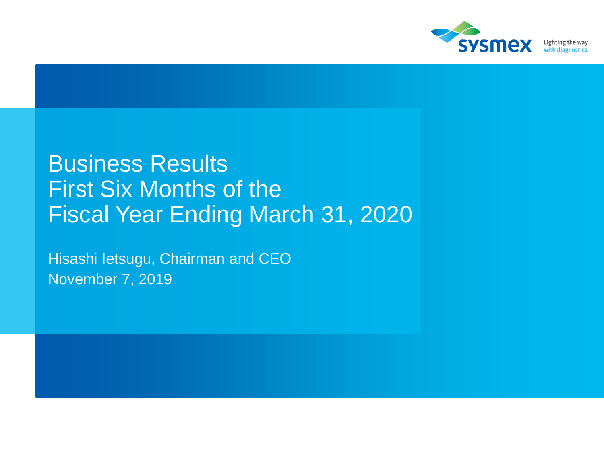

## Business Results First Six Months of the Fiscal Year Ending March 31, 2020

Hisashi Ietsugu, Chairman and CEO November 7, 2019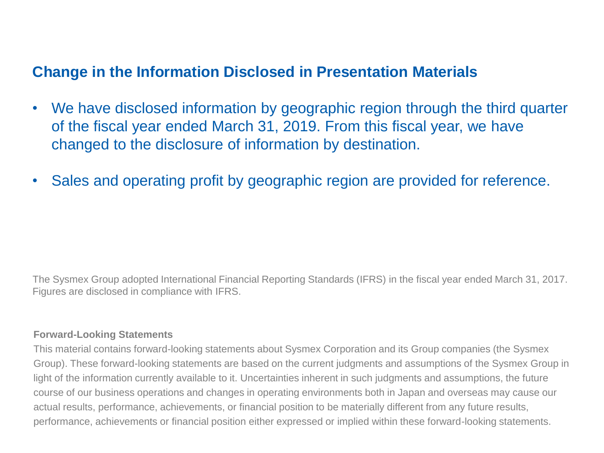#### **Change in the Information Disclosed in Presentation Materials**

- We have disclosed information by geographic region through the third quarter of the fiscal year ended March 31, 2019. From this fiscal year, we have changed to the disclosure of information by destination.
- Sales and operating profit by geographic region are provided for reference.

The Sysmex Group adopted International Financial Reporting Standards (IFRS) in the fiscal year ended March 31, 2017. Figures are disclosed in compliance with IFRS.

#### **Forward-Looking Statements**

This material contains forward-looking statements about Sysmex Corporation and its Group companies (the Sysmex Group). These forward-looking statements are based on the current judgments and assumptions of the Sysmex Group in light of the information currently available to it. Uncertainties inherent in such judgments and assumptions, the future course of our business operations and changes in operating environments both in Japan and overseas may cause our actual results, performance, achievements, or financial position to be materially different from any future results, performance, achievements or financial position either expressed or implied within these forward-looking statements.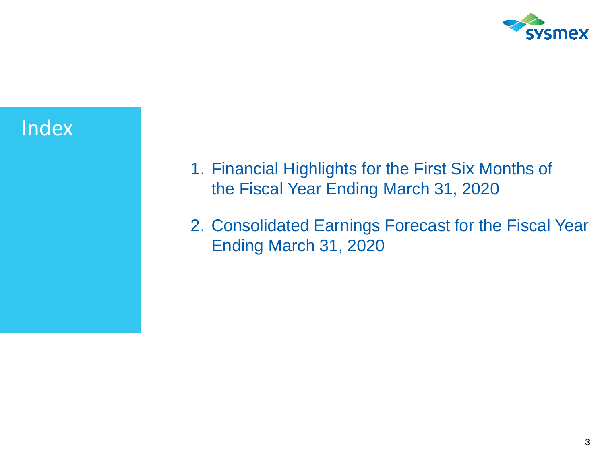

### Index

- 1. Financial Highlights for the First Six Months of the Fiscal Year Ending March 31, 2020
- 2. Consolidated Earnings Forecast for the Fiscal Year Ending March 31, 2020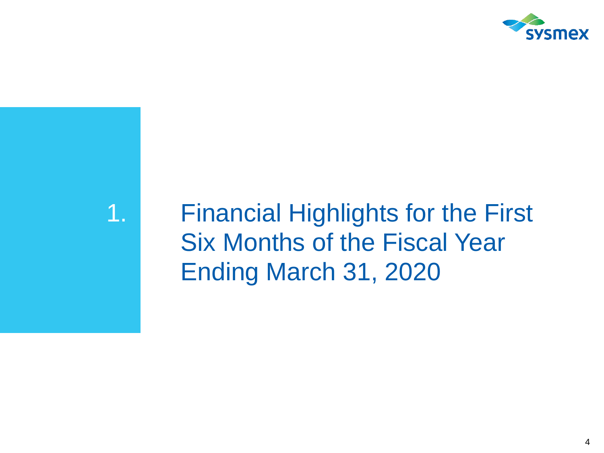

## 1. Financial Highlights for the First Six Months of the Fiscal Year Ending March 31, 2020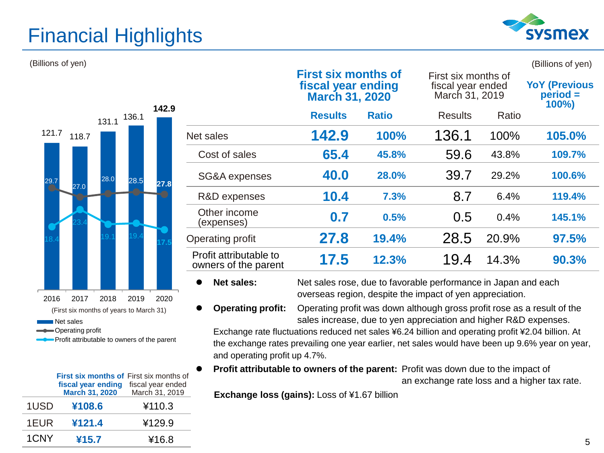### Financial Highlights



**YoY (Previous period = 100%)**

(Billions of yen) (Billions of yen)

|                                      |                                                | <b>First six months of</b><br>fiscal year ending<br><b>March 31, 2020</b> |              | First six months of<br>fiscal year ended<br>March 31, 2019                                                                 |       | <b>YoY (Previou</b><br>$period =$<br>100%) |
|--------------------------------------|------------------------------------------------|---------------------------------------------------------------------------|--------------|----------------------------------------------------------------------------------------------------------------------------|-------|--------------------------------------------|
| 142.9<br>136.1<br>131.1              |                                                | <b>Results</b>                                                            | <b>Ratio</b> | <b>Results</b>                                                                                                             | Ratio |                                            |
| 121.7<br>118.7                       | Net sales                                      | 142.9                                                                     | 100%         | 136.1                                                                                                                      | 100%  | 105.0%                                     |
|                                      | Cost of sales                                  | 65.4                                                                      | 45.8%        | 59.6                                                                                                                       | 43.8% | 109.7%                                     |
| 28.0<br>28.5<br>29.7<br>27.8         | SG&A expenses                                  | 40.0                                                                      | 28.0%        | 39.7                                                                                                                       | 29.2% | 100.6%                                     |
| 27.0                                 | R&D expenses                                   | 10.4                                                                      | 7.3%         | 8.7                                                                                                                        | 6.4%  | 119.4%                                     |
|                                      | Other income<br>(expenses)                     | 0.7                                                                       | 0.5%         | 0.5                                                                                                                        | 0.4%  | 145.1%                                     |
|                                      | Operating profit                               | 27.8                                                                      | 19.4%        | 28.5                                                                                                                       | 20.9% | 97.5%                                      |
|                                      | Profit attributable to<br>owners of the parent | 17.5                                                                      | 12.3%        | 19.4                                                                                                                       | 14.3% | 90.3%                                      |
| 2018<br>2017<br>2019<br>2020<br>2016 | <b>Net sales:</b>                              |                                                                           |              | Net sales rose, due to favorable performance in Japan and each<br>overseas region, despite the impact of yen appreciation. |       |                                            |

(First six months of years to March 31)

Net sales

Operating profit

Profit attributable to owners of the parent

|      | <b>First six months of First six months of</b><br>fiscal year ending<br><b>March 31, 2020</b> | fiscal year ended<br>March 31, 2019 |
|------|-----------------------------------------------------------------------------------------------|-------------------------------------|
| 1USD | ¥108.6                                                                                        | ¥110.3                              |
| 1EUR | ¥121.4                                                                                        | ¥129.9                              |
| 1CNY | ¥15.7                                                                                         | ¥16.8                               |

 **Operating profit:** Operating profit was down although gross profit rose as a result of the sales increase, due to yen appreciation and higher R&D expenses.

Exchange rate fluctuations reduced net sales ¥6.24 billion and operating profit ¥2.04 billion. At the exchange rates prevailing one year earlier, net sales would have been up 9.6% year on year, and operating profit up 4.7%.

 **Profit attributable to owners of the parent:** Profit was down due to the impact of an exchange rate loss and a higher tax rate.

**Exchange loss (gains):** Loss of ¥1.67 billion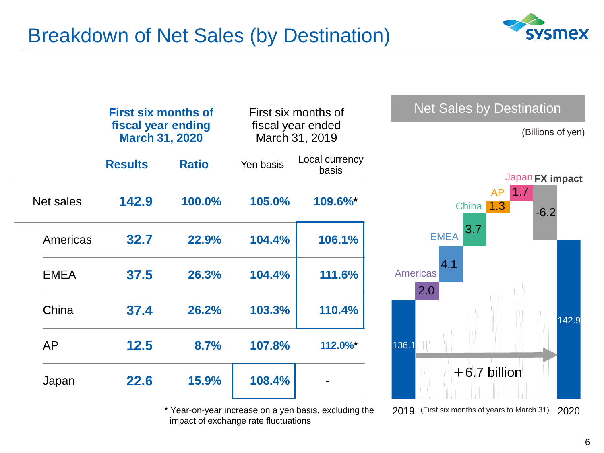

|             | <b>First six months of</b><br>fiscal year ending<br><b>March 31, 2020</b> |              |           | First six months of<br>fiscal year ended<br>March 31, 2019 | Net Sales by Destination<br>(Billions of yen) |
|-------------|---------------------------------------------------------------------------|--------------|-----------|------------------------------------------------------------|-----------------------------------------------|
|             | <b>Results</b>                                                            | <b>Ratio</b> | Yen basis | Local currency<br>basis                                    | Japan FX impact                               |
| Net sales   | 142.9                                                                     | 100.0%       | 105.0%    | 109.6%*                                                    | 1.7<br><b>AP</b><br>China 1.3<br>$-6.2$       |
| Americas    | 32.7                                                                      | 22.9%        | 104.4%    | 106.1%                                                     | 3.7<br><b>EMEA</b>                            |
| <b>EMEA</b> | 37.5                                                                      | 26.3%        | 104.4%    | 111.6%                                                     | 4.1<br><b>Americas</b><br>2.0                 |
| China       | 37.4                                                                      | 26.2%        | 103.3%    | 110.4%                                                     | 142.9                                         |
| <b>AP</b>   | 12.5                                                                      | 8.7%         | 107.8%    | 112.0%*                                                    | 136.1                                         |
| Japan       | 22.6                                                                      | 15.9%        | 108.4%    |                                                            | $+6.7$ billion                                |

Year-on-year increase on a yen basis, excluding the impact of exchange rate fluctuations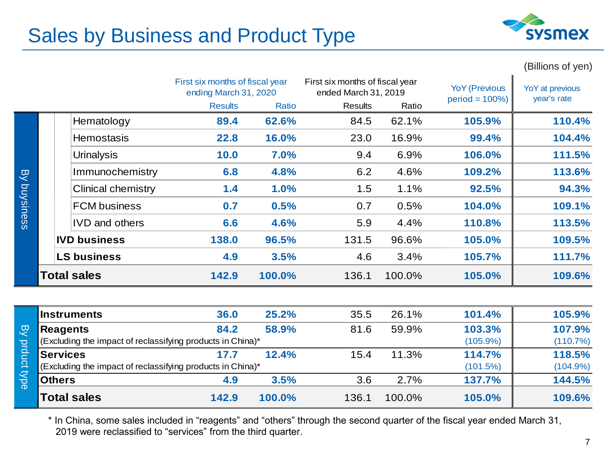### Sales by Business and Product Type



(Billions of yen)

|           |  |                           | First six months of fiscal year<br>ending March 31, 2020 |        | First six months of fiscal year<br>ended March 31, 2019 |        | <b>YoY</b> (Previous | YoY at previous<br>year's rate |
|-----------|--|---------------------------|----------------------------------------------------------|--------|---------------------------------------------------------|--------|----------------------|--------------------------------|
|           |  |                           | <b>Results</b>                                           | Ratio  | <b>Results</b>                                          | Ratio  | $period = 100\%)$    |                                |
|           |  | Hematology                | 89.4                                                     | 62.6%  | 84.5                                                    | 62.1%  | 105.9%               | 110.4%                         |
|           |  | <b>Hemostasis</b>         | 22.8                                                     | 16.0%  | 23.0                                                    | 16.9%  | 99.4%                | 104.4%                         |
|           |  | <b>Urinalysis</b>         | 10.0                                                     | 7.0%   | 9.4                                                     | 6.9%   | 106.0%               | 111.5%                         |
| List      |  | Immunochemistry           | 6.8                                                      | 4.8%   | 6.2                                                     | 4.6%   | 109.2%               | 113.6%                         |
|           |  | <b>Clinical chemistry</b> | 1.4                                                      | 1.0%   | 1.5                                                     | 1.1%   | 92.5%                | 94.3%                          |
| buysiness |  | <b>FCM</b> business       | 0.7                                                      | 0.5%   | 0.7                                                     | 0.5%   | 104.0%               | 109.1%                         |
|           |  | <b>IVD</b> and others     | 6.6                                                      | 4.6%   | 5.9                                                     | 4.4%   | 110.8%               | 113.5%                         |
|           |  | <b>IVD business</b>       | 138.0                                                    | 96.5%  | 131.5                                                   | 96.6%  | 105.0%               | 109.5%                         |
|           |  | <b>LS business</b>        | 4.9                                                      | 3.5%   | 4.6                                                     | 3.4%   | 105.7%               | 111.7%                         |
|           |  | <b>Total sales</b>        | 142.9                                                    | 100.0% | 136.1                                                   | 100.0% | 105.0%               | 109.6%                         |
|           |  |                           |                                                          |        |                                                         |        |                      |                                |

|                         | <b>Instruments</b>                                                            | 36.0  | 25.2%  | 35.5  | 26.1%  | 101.4%                | 105.9%             |
|-------------------------|-------------------------------------------------------------------------------|-------|--------|-------|--------|-----------------------|--------------------|
| ల్గా                    | Reagents                                                                      | 84.2  | 58.9%  | 81.6  | 59.9%  | 103.3%                | 107.9%             |
| prduct                  | (Excluding the impact of reclassifying products in China)*<br><b>Services</b> | 17.7  | 12.4%  | 15.4  | 11.3%  | $(105.9\%)$<br>114.7% | (110.7%)<br>118.5% |
| o,                      | (Excluding the impact of reclassifying products in China)*                    |       |        |       |        | (101.5%)              | $(104.9\%)$        |
| $\overline{\mathrm{G}}$ | <b>Others</b>                                                                 | 4.9   | 3.5%   | 3.6   | 2.7%   | 137.7%                | 144.5%             |
|                         | <b>Total sales</b>                                                            | 142.9 | 100.0% | 136.1 | 100.0% | 105.0%                | 109.6%             |

\* In China, some sales included in "reagents" and "others" through the second quarter of the fiscal year ended March 31, 2019 were reclassified to "services" from the third quarter.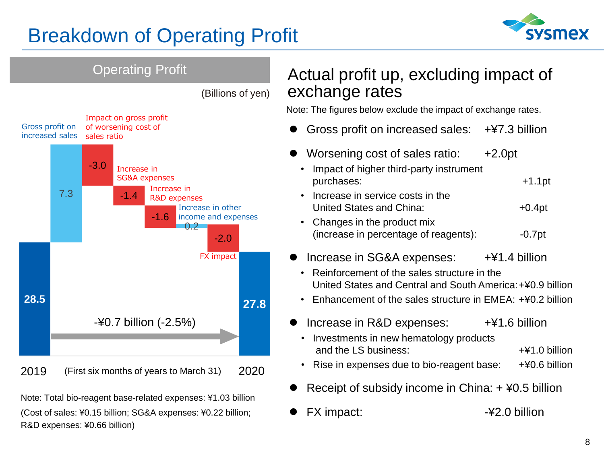### Breakdown of Operating Profit





FX impact:  $-42.0$  billion

(Cost of sales: ¥0.15 billion; SG&A expenses: ¥0.22 billion; R&D expenses: ¥0.66 billion)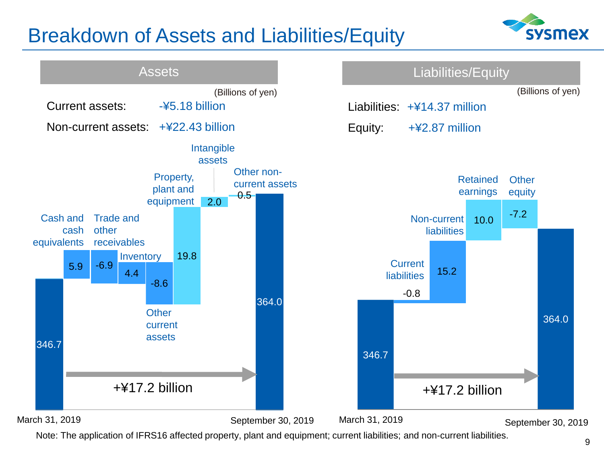### Breakdown of Assets and Liabilities/Equity





Note: The application of IFRS16 affected property, plant and equipment; current liabilities; and non-current liabilities.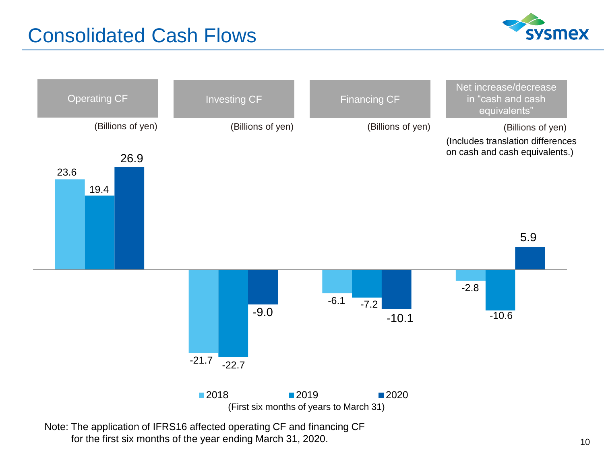### Consolidated Cash Flows





for the first six months of the year ending March 31, 2020.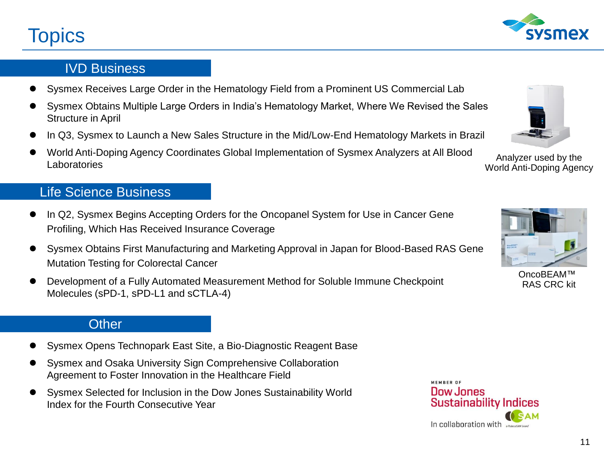### **Topics**

#### IVD Business

- Sysmex Receives Large Order in the Hematology Field from a Prominent US Commercial Lab
- Sysmex Obtains Multiple Large Orders in India's Hematology Market, Where We Revised the Sales Structure in April
- In Q3, Sysmex to Launch a New Sales Structure in the Mid/Low-End Hematology Markets in Brazil
- World Anti-Doping Agency Coordinates Global Implementation of Sysmex Analyzers at All Blood Laboratories

#### Life Science Business

- In Q2, Sysmex Begins Accepting Orders for the Oncopanel System for Use in Cancer Gene Profiling, Which Has Received Insurance Coverage
- Sysmex Obtains First Manufacturing and Marketing Approval in Japan for Blood-Based RAS Gene Mutation Testing for Colorectal Cancer
- Development of a Fully Automated Measurement Method for Soluble Immune Checkpoint Molecules (sPD-1, sPD-L1 and sCTLA-4)

#### **Other**

- Sysmex Opens Technopark East Site, a Bio-Diagnostic Reagent Base
- Sysmex and Osaka University Sign Comprehensive Collaboration Agreement to Foster Innovation in the Healthcare Field
- Sysmex Selected for Inclusion in the Dow Jones Sustainability World Index for the Fourth Consecutive Year





RAS CRC kit



Analyzer used by the World Anti-Doping Agency



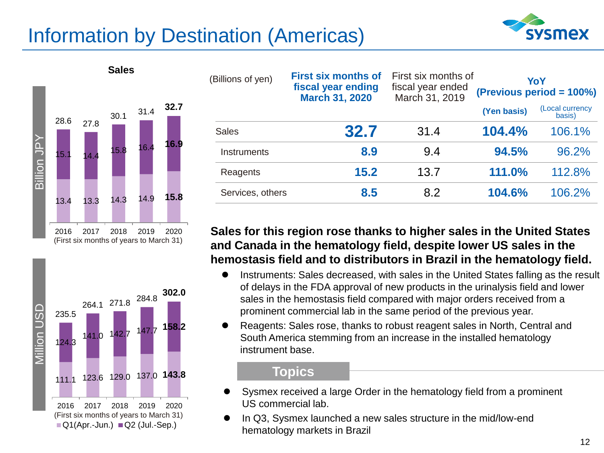### Information by Destination (Americas)







| (Billions of yen) | <b>First six months of</b><br>fiscal year ending<br><b>March 31, 2020</b> | First six months of<br>fiscal year ended<br>March 31, 2019 | YoY<br>(Previous period = 100%) |                           |  |
|-------------------|---------------------------------------------------------------------------|------------------------------------------------------------|---------------------------------|---------------------------|--|
|                   |                                                                           |                                                            | (Yen basis)                     | (Local currency<br>basis) |  |
| <b>Sales</b>      | 32.7                                                                      | 31.4                                                       | 104.4%                          | 106.1%                    |  |
| Instruments       | 8.9                                                                       | 9.4                                                        | 94.5%                           | 96.2%                     |  |
| Reagents          | 15.2                                                                      | 13.7                                                       | 111.0%                          | 112.8%                    |  |
| Services, others  | 8.5                                                                       | 8.2                                                        | 104.6%                          | 106.2%                    |  |

#### **Sales for this region rose thanks to higher sales in the United States and Canada in the hematology field, despite lower US sales in the hemostasis field and to distributors in Brazil in the hematology field.**

- Instruments: Sales decreased, with sales in the United States falling as the result of delays in the FDA approval of new products in the urinalysis field and lower sales in the hemostasis field compared with major orders received from a prominent commercial lab in the same period of the previous year.
- Reagents: Sales rose, thanks to robust reagent sales in North, Central and South America stemming from an increase in the installed hematology instrument base.

#### **Topics**

- Sysmex received a large Order in the hematology field from a prominent US commercial lab.
- In Q3, Sysmex launched a new sales structure in the mid/low-end hematology markets in Brazil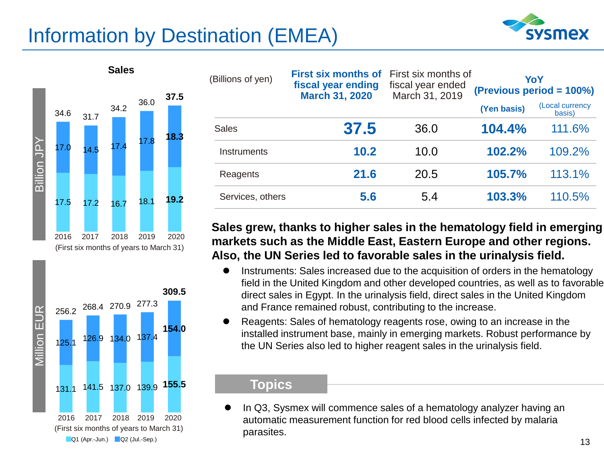### Information by Destination (EMEA)







| (Billions of yen) | <b>First six months of</b><br>fiscal year ending<br><b>March 31, 2020</b> | First six months of<br>fiscal year ended<br>March 31, 2019 | YoY<br>(Previous period = 100%) |                           |  |
|-------------------|---------------------------------------------------------------------------|------------------------------------------------------------|---------------------------------|---------------------------|--|
|                   |                                                                           |                                                            | (Yen basis)                     | (Local currency<br>basis) |  |
| <b>Sales</b>      | 37.5                                                                      | 36.0                                                       | 104.4%                          | 111.6%                    |  |
| Instruments       | 10.2                                                                      | 10.0                                                       | 102.2%                          | 109.2%                    |  |
| Reagents          | 21.6                                                                      | 20.5                                                       | 105.7%                          | 113.1%                    |  |
| Services, others  | 5.6                                                                       | 5.4                                                        | 103.3%                          | 110.5%                    |  |

#### **Sales grew, thanks to higher sales in the hematology field in emerging markets such as the Middle East, Eastern Europe and other regions. Also, the UN Series led to favorable sales in the urinalysis field.**

- **•** Instruments: Sales increased due to the acquisition of orders in the hematology field in the United Kingdom and other developed countries, as well as to favorable direct sales in Egypt. In the urinalysis field, direct sales in the United Kingdom and France remained robust, contributing to the increase.
- Reagents: Sales of hematology reagents rose, owing to an increase in the installed instrument base, mainly in emerging markets. Robust performance by the UN Series also led to higher reagent sales in the urinalysis field.

#### **Topics**

 In Q3, Sysmex will commence sales of a hematology analyzer having an automatic measurement function for red blood cells infected by malaria parasites.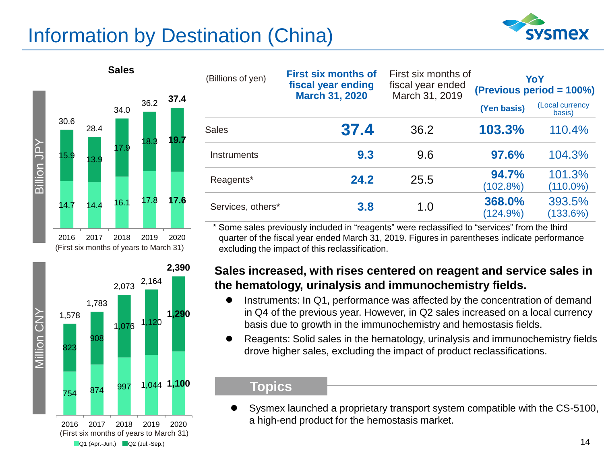### Information by Destination (China)





**Sales**



| (Billions of yen) | <b>First six months of</b><br>fiscal year ending<br><b>March 31, 2020</b> | First six months of<br>fiscal year ended<br>March 31, 2019 | YoY<br>(Previous period = 100%) |                           |  |
|-------------------|---------------------------------------------------------------------------|------------------------------------------------------------|---------------------------------|---------------------------|--|
|                   |                                                                           |                                                            | (Yen basis)                     | (Local currency<br>basis) |  |
| <b>Sales</b>      | 37.4                                                                      | 36.2                                                       | 103.3%                          | 110.4%                    |  |
| Instruments       | 9.3                                                                       | 9.6                                                        | 97.6%                           | 104.3%                    |  |
| Reagents*         | 24.2                                                                      | 25.5                                                       | 94.7%<br>(102.8%)               | 101.3%<br>$(110.0\%)$     |  |
| Services, others* | 3.8                                                                       | 1.0                                                        | 368.0%<br>(124.9%)              | 393.5%<br>(133.6%)        |  |

\* Some sales previously included in "reagents" were reclassified to "services" from the third quarter of the fiscal year ended March 31, 2019. Figures in parentheses indicate performance excluding the impact of this reclassification.

#### **Sales increased, with rises centered on reagent and service sales in the hematology, urinalysis and immunochemistry fields.**

- Instruments: In Q1, performance was affected by the concentration of demand in Q4 of the previous year. However, in Q2 sales increased on a local currency basis due to growth in the immunochemistry and hemostasis fields.
- Reagents: Solid sales in the hematology, urinalysis and immunochemistry fields drove higher sales, excluding the impact of product reclassifications.

#### **Topics**

 Sysmex launched a proprietary transport system compatible with the CS-5100, a high-end product for the hemostasis market.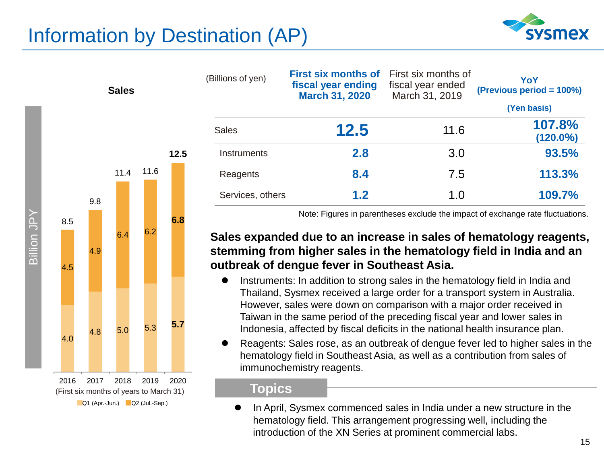### Information by Destination (AP)

**12.5** 



| (Billions of yen) | <b>First six months of</b><br>fiscal year ending<br><b>March 31, 2020</b> | First six months of<br>fiscal year ended<br>March 31, 2019 | YoY<br>(Previous period = 100%)<br>(Yen basis) |  |  |
|-------------------|---------------------------------------------------------------------------|------------------------------------------------------------|------------------------------------------------|--|--|
| <b>Sales</b>      | 12.5                                                                      | 11.6                                                       | 107.8%<br>$(120.0\%)$                          |  |  |
| Instruments       | 2.8                                                                       | 3.0                                                        | 93.5%                                          |  |  |
| Reagents          | 8.4                                                                       | 7.5                                                        | 113.3%                                         |  |  |
| Services, others  | 1.2                                                                       | 1.0                                                        | 109.7%                                         |  |  |

Note: Figures in parentheses exclude the impact of exchange rate fluctuations.

#### **Sales expanded due to an increase in sales of hematology reagents, stemming from higher sales in the hematology field in India and an outbreak of dengue fever in Southeast Asia.**

- Instruments: In addition to strong sales in the hematology field in India and Thailand, Sysmex received a large order for a transport system in Australia. However, sales were down on comparison with a major order received in Taiwan in the same period of the preceding fiscal year and lower sales in Indonesia, affected by fiscal deficits in the national health insurance plan.
- Reagents: Sales rose, as an outbreak of dengue fever led to higher sales in the hematology field in Southeast Asia, as well as a contribution from sales of immunochemistry reagents.

#### **Topics**

 In April, Sysmex commenced sales in India under a new structure in the hematology field. This arrangement progressing well, including the introduction of the XN Series at prominent commercial labs.





11.4 11.6

**Sales**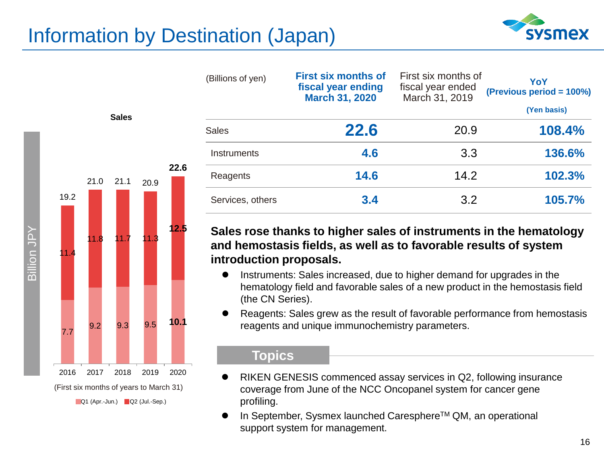### Information by Destination (Japan)



| (Billions of yen) | <b>First six months of</b><br>fiscal year ending<br><b>March 31, 2020</b> | First six months of<br>fiscal year ended<br>March 31, 2019 | YoY<br>(Previous period = 100%) |
|-------------------|---------------------------------------------------------------------------|------------------------------------------------------------|---------------------------------|
|                   |                                                                           |                                                            | (Yen basis)                     |
| <b>Sales</b>      | <b>22.6</b>                                                               | 20.9                                                       | 108.4%                          |
| Instruments       | 4.6                                                                       | 3.3                                                        | 136.6%                          |
| Reagents          | 14.6                                                                      | 14.2                                                       | 102.3%                          |
| Services, others  | 3.4                                                                       | 3.2                                                        | 105.7%                          |

**Sales rose thanks to higher sales of instruments in the hematology and hemostasis fields, as well as to favorable results of system introduction proposals.** 

- Instruments: Sales increased, due to higher demand for upgrades in the hematology field and favorable sales of a new product in the hemostasis field (the CN Series).
- Reagents: Sales grew as the result of favorable performance from hemostasis reagents and unique immunochemistry parameters.

#### **Topics**

- RIKEN GENESIS commenced assay services in Q2, following insurance coverage from June of the NCC Oncopanel system for cancer gene profiling.
- In September, Sysmex launched Caresphere™ QM, an operational support system for management.



**Sales**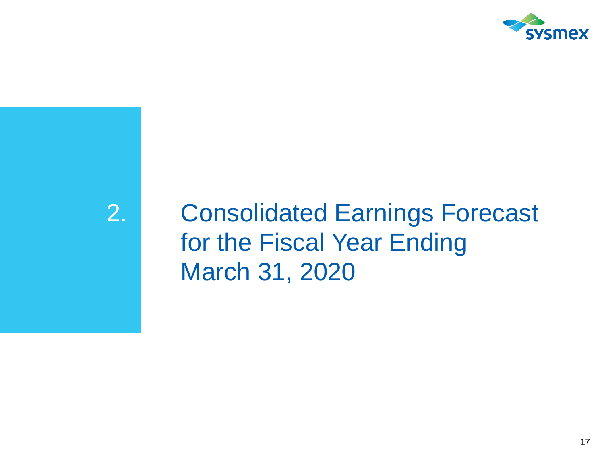

2. Consolidated Earnings Forecast for the Fiscal Year Ending March 31, 2020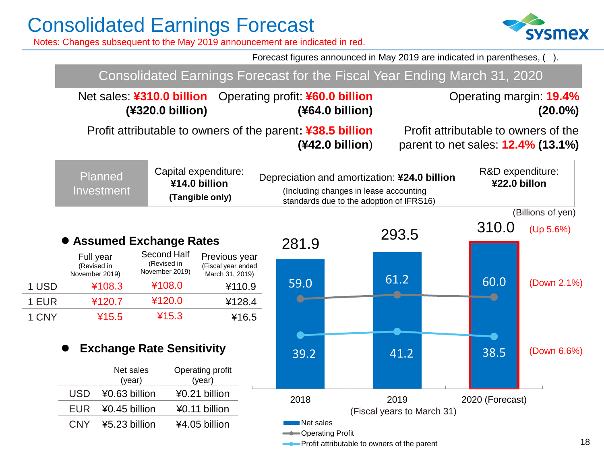Notes: Changes subsequent to the May 2019 announcement are indicated in red.

Forecast figures announced in May 2019 are indicated in parentheses, ( ).

|       |                                                                        |                                                          |                                                        |                                                                               | Consolidated Earnings Forecast for the Fiscal Year Ending March 31, 2020                                                           |                 |              |                                                                                   |
|-------|------------------------------------------------------------------------|----------------------------------------------------------|--------------------------------------------------------|-------------------------------------------------------------------------------|------------------------------------------------------------------------------------------------------------------------------------|-----------------|--------------|-----------------------------------------------------------------------------------|
|       |                                                                        | (¥320.0 billion)                                         |                                                        | Net sales: ¥310.0 billion Operating profit: ¥60.0 billion<br>(¥64.0 billion)  |                                                                                                                                    |                 |              | Operating margin: 19.4%<br>$(20.0\%)$                                             |
|       |                                                                        |                                                          |                                                        | Profit attributable to owners of the parent: ¥38.5 billion<br>(442.0 billion) |                                                                                                                                    |                 |              | Profit attributable to owners of the<br>parent to net sales: <b>12.4% (13.1%)</b> |
|       | Planned<br>Investment                                                  | Capital expenditure:<br>¥14.0 billion<br>(Tangible only) |                                                        |                                                                               | Depreciation and amortization: ¥24.0 billion<br>(Including changes in lease accounting<br>standards due to the adoption of IFRS16) |                 | ¥22.0 billon | R&D expenditure:                                                                  |
|       |                                                                        |                                                          |                                                        |                                                                               |                                                                                                                                    |                 |              | (Billions of yen)                                                                 |
|       |                                                                        |                                                          |                                                        |                                                                               | 293.5                                                                                                                              |                 | 310.0        | (Up 5.6%)                                                                         |
|       | • Assumed Exchange Rates<br>Full year<br>(Revised in<br>November 2019) | Second Half<br>(Revised in<br>November 2019)             | Previous year<br>(Fiscal year ended<br>March 31, 2019) | 281.9                                                                         | 61.2                                                                                                                               |                 | 60.0         |                                                                                   |
| 1 USD | ¥108.3                                                                 | ¥108.0                                                   | ¥110.9                                                 | 59.0                                                                          |                                                                                                                                    |                 |              | (Down 2.1%)                                                                       |
| 1 EUR | ¥120.7                                                                 | ¥120.0                                                   | ¥128.4                                                 |                                                                               |                                                                                                                                    |                 |              |                                                                                   |
| 1 CNY | ¥15.5                                                                  | 415.3                                                    | ¥16.5                                                  |                                                                               |                                                                                                                                    |                 |              |                                                                                   |
|       |                                                                        | <b>Exchange Rate Sensitivity</b>                         |                                                        | 39.2                                                                          | 41.2                                                                                                                               |                 | 38.5         | (Down 6.6%)                                                                       |
|       | Net sales<br>(year)                                                    | Operating profit<br>(year)                               |                                                        |                                                                               |                                                                                                                                    |                 |              |                                                                                   |
|       | <b>USD</b><br>¥0.63 billion                                            | ¥0.21 billion                                            |                                                        | 2018                                                                          | 2019                                                                                                                               |                 |              |                                                                                   |
|       | <b>EUR</b><br>¥0.45 billion                                            | ¥0.11 billion                                            |                                                        |                                                                               | (Fiscal years to March 31)                                                                                                         | 2020 (Forecast) |              |                                                                                   |
|       | <b>CNY</b><br>¥5.23 billion                                            | ¥4.05 billion                                            |                                                        | Net sales                                                                     |                                                                                                                                    |                 |              |                                                                                   |
|       |                                                                        |                                                          |                                                        | -Operating Profit                                                             | -Profit attributable to owners of the parent                                                                                       |                 |              | 1                                                                                 |

## **sysmex**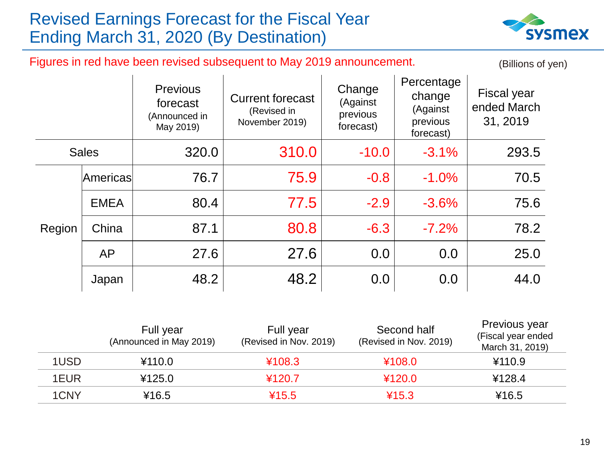### Revised Earnings Forecast for the Fiscal Year Ending March 31, 2020 (By Destination)



Figures in red have been revised subsequent to May 2019 announcement.

(Billions of yen)

|              |             | <b>Previous</b><br>forecast<br>(Announced in<br>May 2019) | <b>Current forecast</b><br>(Revised in<br>November 2019) | Change<br>(Against<br>previous<br>forecast) | Percentage<br>change<br>(Against<br>previous<br>forecast) | <b>Fiscal year</b><br>ended March<br>31, 2019 |
|--------------|-------------|-----------------------------------------------------------|----------------------------------------------------------|---------------------------------------------|-----------------------------------------------------------|-----------------------------------------------|
| <b>Sales</b> |             | 320.0                                                     | 310.0                                                    | $-10.0$                                     | $-3.1%$                                                   | 293.5                                         |
|              | Americas    | 76.7                                                      | 75.9                                                     | $-0.8$                                      | $-1.0%$                                                   | 70.5                                          |
|              | <b>EMEA</b> | 80.4                                                      | 77.5                                                     | $-2.9$                                      | $-3.6%$                                                   | 75.6                                          |
| Region       | China       | 87.1                                                      | 80.8                                                     | $-6.3$                                      | $-7.2\%$                                                  | 78.2                                          |
|              | AP          | 27.6                                                      | 27.6                                                     | 0.0                                         | 0.0                                                       | 25.0                                          |
|              | Japan       | 48.2                                                      | 48.2                                                     | 0.0                                         | 0.0                                                       | 44.0                                          |

|      | Full year<br>(Announced in May 2019) | Full year<br>(Revised in Nov. 2019) | Second half<br>(Revised in Nov. 2019) | Previous year<br>(Fiscal year ended<br>March 31, 2019) |
|------|--------------------------------------|-------------------------------------|---------------------------------------|--------------------------------------------------------|
| 1USD | ¥110.0                               | ¥108.3                              | ¥108.0                                | ¥110.9                                                 |
| 1EUR | ¥125.0                               | ¥120.7                              | 4120.0                                | ¥128.4                                                 |
| 1CNY | ¥16.5                                | ¥15.5                               | 415.3                                 | ¥16.5                                                  |
|      |                                      |                                     |                                       |                                                        |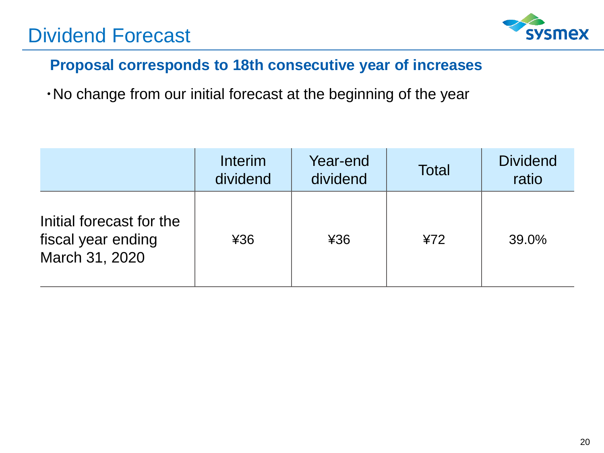### Dividend Forecast



### **Proposal corresponds to 18th consecutive year of increases**

・No change from our initial forecast at the beginning of the year

|                                                                  | Interim<br>dividend | Year-end<br>dividend | <b>Total</b> | <b>Dividend</b><br>ratio |
|------------------------------------------------------------------|---------------------|----------------------|--------------|--------------------------|
| Initial forecast for the<br>fiscal year ending<br>March 31, 2020 | 436                 | ¥36                  | 472          | 39.0%                    |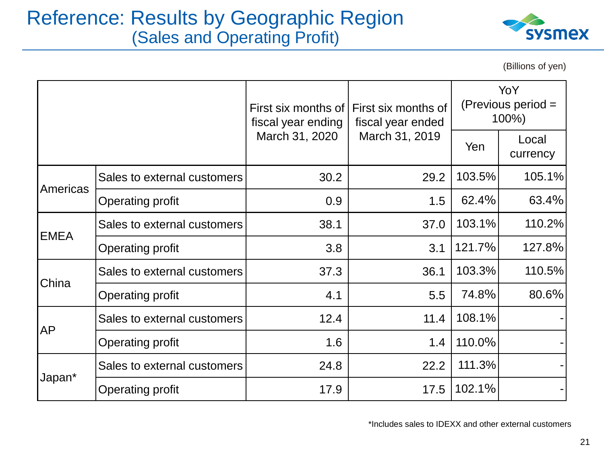### Reference: Results by Geographic Region (Sales and Operating Profit)



(Billions of yen)

|             |                             | First six months of<br>fiscal year ending | First six months of<br>fiscal year ended | YoY<br>(Previous period =<br>100%) |                   |
|-------------|-----------------------------|-------------------------------------------|------------------------------------------|------------------------------------|-------------------|
|             |                             | March 31, 2020                            | March 31, 2019                           | Yen                                | Local<br>currency |
| Americas    | Sales to external customers | 30.2                                      | 29.2                                     | 103.5%                             | 105.1%            |
|             | Operating profit            | 0.9                                       | 1.5                                      | 62.4%                              | 63.4%             |
| <b>EMEA</b> | Sales to external customers | 38.1                                      | 37.0                                     | 103.1%                             | 110.2%            |
|             | Operating profit            | 3.8                                       | 3.1                                      | 121.7%                             | 127.8%            |
| China       | Sales to external customers | 37.3                                      | 36.1                                     | 103.3%                             | 110.5%            |
|             | Operating profit            | 4.1                                       | 5.5                                      | 74.8%                              | $80.6\%$          |
| <b>AP</b>   | Sales to external customers | 12.4                                      | 11.4                                     | 108.1%                             |                   |
|             | Operating profit            | 1.6                                       | 1.4                                      | 110.0%                             |                   |
| Japan*      | Sales to external customers | 24.8                                      | 22.2                                     | 111.3%                             |                   |
|             | Operating profit            | 17.9                                      | 17.5                                     | 102.1%                             |                   |

\*Includes sales to IDEXX and other external customers